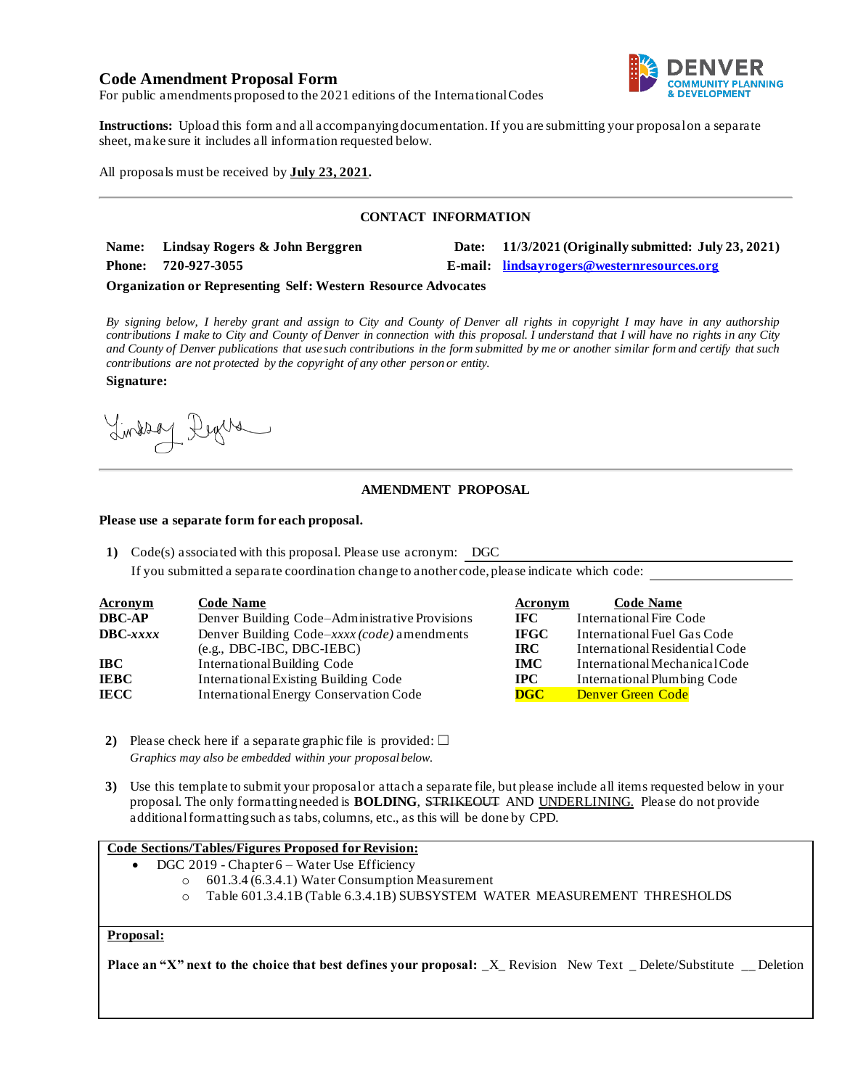# **Code Amendment Proposal Form**



For public amendments proposed to the 2021 editions of the International Codes

**Instructions:** Upload this form and all accompanying documentation. If you are submitting your proposal on a separate sheet, make sure it includes all information requested below.

All proposals must be received by **July 23, 2021.**

## **CONTACT INFORMATION**

**Name: Lindsay Rogers & John Berggren Date: 11/3/2021 (Originally submitted: July 23, 2021) Phone: 720-927-3055 E-mail: lindsayrogers@westernresources.org**

#### **Organization or Representing Self: Western Resource Advocates**

*By signing below, I hereby grant and assign to City and County of Denver all rights in copyright I may have in any authorship contributions I make to City and County of Denver in connection with this proposal. I understand that I will have no rights in any City and County of Denver publications that use such contributions in the form submitted by me or another similar form and certify that such contributions are not protected by the copyright of any other person or entity.* 

**Signature:**

Lindson Degree

## **AMENDMENT PROPOSAL**

#### **Please use a separate form for each proposal.**

**1)** Code(s) associated with this proposal. Please use acronym: DGC

If you submitted a separate coordination change to another code, please indicate which code:

| <b>Acronym</b>    | <b>Code Name</b>                               | Acronym     | <b>Code Name</b>               |
|-------------------|------------------------------------------------|-------------|--------------------------------|
| <b>DBC-AP</b>     | Denver Building Code–Administrative Provisions | IFC.        | International Fire Code        |
| $\text{DBC}-xxxx$ | Denver Building Code-xxxx (code) amendments    | <b>IFGC</b> | International Fuel Gas Code    |
|                   | $(e.g., DBC-IBC, DBC-IEBC)$                    | <b>IRC</b>  | International Residential Code |
| IBC.              | <b>International Building Code</b>             | <b>IMC</b>  | International Mechanical Code  |
| <b>IEBC</b>       | <b>International Existing Building Code</b>    | <b>IPC</b>  | International Plumbing Code    |
| IECC              | <b>International Energy Conservation Code</b>  | DGC         | <b>Denver Green Code</b>       |

- **2)** Please check here if a separate graphic file is provided:  $\Box$ *Graphics may also be embedded within your proposal below.*
- **3)** Use this template to submit your proposal or attach a separate file, but please include all items requested below in your proposal. The only formatting needed is **BOLDING**, STRIKEOUT AND UNDERLINING. Please do not provide additional formatting such as tabs, columns, etc., as this will be done by CPD.

### **Code Sections/Tables/Figures Proposed for Revision:**

- DGC 2019 Chapter 6 Water Use Efficiency
	- o 601.3.4 (6.3.4.1) Water Consumption Measurement
		- o Table 601.3.4.1B (Table 6.3.4.1B) SUBSYSTEM WATER MEASUREMENT THRESHOLDS

## **Proposal:**

**Place an "X" next to the choice that best defines your proposal:** \_X\_ Revision New Text \_ Delete/Substitute \_\_ Deletion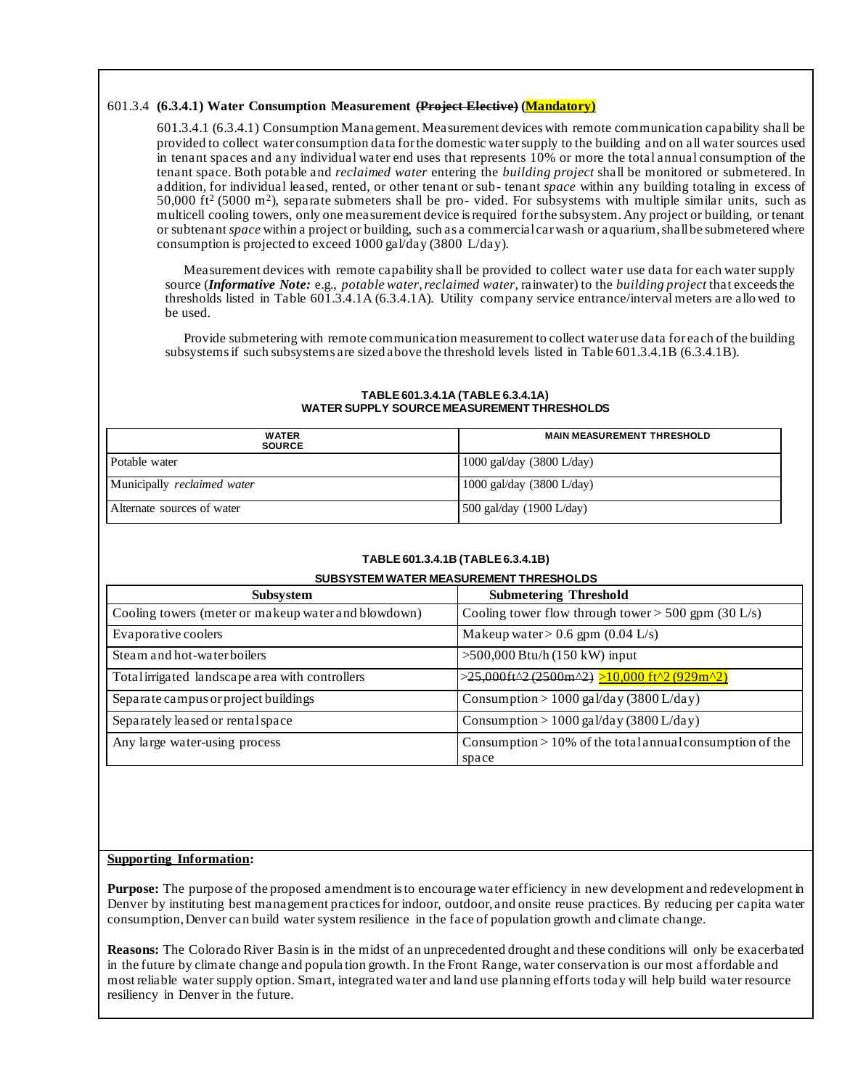## 601.3.4 **(6.3.4.1) Water Consumption Measurement (Project Elective) (Mandatory)**

601.3.4.1 (6.3.4.1) Consumption Management. Measurement devices with remote communication capability shall be provided to collect water consumption data for the domestic water supply to the building and on all water sources used in tenant spaces and any individual water end uses that represents 10% or more the total annual consumption of the tenant space. Both potable and *reclaimed water* entering the *building project* shall be monitored or submetered. In addition, for individual leased, rented, or other tenant or sub- tenant *space* within any building totaling in excess of 50,000 ft<sup>2</sup> (5000 m<sup>2</sup>), separate submeters shall be pro- vided. For subsystems with multiple similar units, such as multicell cooling towers, only one measurement device is required for the subsystem. Any project or building, or tenant or subtenant *space* within a project or building, such as a commercial car wash or aquarium, shall be submetered where consumption is projected to exceed 1000 gal/day (3800 L/day).

Measurement devices with remote capability shall be provided to collect water use data for each water supply source (*Informative Note:* e.g., *potable water*, *reclaimed water*, rainwater) to the *building project* that exceeds the thresholds listed in Table 601.3.4.1A (6.3.4.1A). Utility company service entrance/interval meters are allo wed to be used.

Provide submetering with remote communication measurement to collect water use data for each of the building subsystems if such subsystems are sized above the threshold levels listed in Table 601.3.4.1B (6.3.4.1B).

| <b>WATER</b><br><b>SOURCE</b> | <b>MAIN MEASUREMENT THRESHOLD</b>   |  |  |
|-------------------------------|-------------------------------------|--|--|
| Potable water                 | $1000$ gal/day (3800 L/day)         |  |  |
| Municipally reclaimed water   | 1000 gal/day $(3800 \text{ L/day})$ |  |  |
| Alternate sources of water    | 500 gal/day $(1900 \text{ L/day})$  |  |  |

#### **TABLE 601.3.4.1A (TABLE 6.3.4.1A) WATER SUPPLY SOURCE MEASUREMENT THRESHOLDS**

### **TABLE 601.3.4.1B (TABLE 6.3.4.1B)**

**SUBSYSTEM WATER MEASUREMENT THRESHOLDS**

| SUBSTSTEM WATER MEASUREMENT THRESHOLDS              |                                                                      |  |  |  |  |
|-----------------------------------------------------|----------------------------------------------------------------------|--|--|--|--|
| <b>Subsystem</b>                                    | <b>Submetering Threshold</b>                                         |  |  |  |  |
| Cooling towers (meter or makeup water and blowdown) | Cooling tower flow through tower > 500 gpm $(30 \text{ L/s})$        |  |  |  |  |
| Evaporative coolers                                 | Makeup water > 0.6 gpm $(0.04 \text{ L/s})$                          |  |  |  |  |
| Steam and hot-water boilers                         | $>500,000$ Btu/h (150 kW) input                                      |  |  |  |  |
| Total irrigated landscape area with controllers     | >25,000ft^2 (2500m^2) >10,000 ft^2 (929m^2)                          |  |  |  |  |
| Separate campus or project buildings                | Consumption > 1000 gal/day (3800 L/day)                              |  |  |  |  |
| Separately leased or rental space                   | Consumption > 1000 gal/day (3800 L/day)                              |  |  |  |  |
| Any large water-using process                       | Consumption $> 10\%$ of the total annual consumption of the<br>space |  |  |  |  |

### **Supporting Information:**

**Purpose:** The purpose of the proposed amendment is to encourage water efficiency in new development and redevelopment in Denver by instituting best management practices for indoor, outdoor, and onsite reuse practices. By reducing per capita water consumption, Denver can build water system resilience in the face of population growth and climate change.

**Reasons:** The Colorado River Basin is in the midst of an unprecedented drought and these conditions will only be exacerbated in the future by climate change and popula tion growth. In the Front Range, water conservation is our most affordable and most reliable water supply option. Smart, integrated water and land use planning efforts today will help build water resource resiliency in Denver in the future.